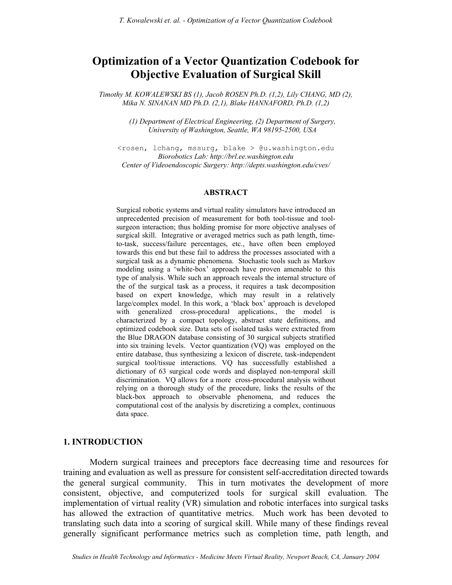# **Optimization of a Vector Quantization Codebook for Objective Evaluation of Surgical Skill**

*Timothy M. KOWALEWSKI BS (1), Jacob ROSEN Ph.D. (1,2), Lily CHANG, MD (2), Mika N. SINANAN MD Ph.D. (2,1), Blake HANNAFORD, Ph.D. (1,2)* 

> *(1) Department of Electrical Engineering, (2) Department of Surgery, University of Washington, Seattle, WA 98195-2500, USA*

<rosen, lchang, mssurg, blake > @u.washington.edu *Biorobotics Lab: http://brl.ee.washington.edu Center of Videoendoscopic Surgery: http://depts.washington.edu/cves/* 

### **ABSTRACT**

Surgical robotic systems and virtual reality simulators have introduced an unprecedented precision of measurement for both tool-tissue and toolsurgeon interaction; thus holding promise for more objective analyses of surgical skill. Integrative or averaged metrics such as path length, timeto-task, success/failure percentages, etc., have often been employed towards this end but these fail to address the processes associated with a surgical task as a dynamic phenomena. Stochastic tools such as Markov modeling using a 'white-box' approach have proven amenable to this type of analysis. While such an approach reveals the internal structure of the of the surgical task as a process, it requires a task decomposition based on expert knowledge, which may result in a relatively large/complex model. In this work, a 'black box' approach is developed with generalized cross-procedural applications., the model is characterized by a compact topology, abstract state definitions, and optimized codebook size. Data sets of isolated tasks were extracted from the Blue DRAGON database consisting of 30 surgical subjects stratified into six training levels. Vector quantization (VQ) was employed on the entire database, thus synthesizing a lexicon of discrete, task-independent surgical tool/tissue interactions. VQ has successfully established a dictionary of 63 surgical code words and displayed non-temporal skill discrimination. VQ allows for a more cross-procedural analysis without relying on a thorough study of the procedure, links the results of the black-box approach to observable phenomena, and reduces the computational cost of the analysis by discretizing a complex, continuous data space.

### **1. INTRODUCTION**

Modern surgical trainees and preceptors face decreasing time and resources for training and evaluation as well as pressure for consistent self-accreditation directed towards the general surgical community. This in turn motivates the development of more consistent, objective, and computerized tools for surgical skill evaluation. The implementation of virtual reality (VR) simulation and robotic interfaces into surgical tasks has allowed the extraction of quantitative metrics. Much work has been devoted to translating such data into a scoring of surgical skill. While many of these findings reveal generally significant performance metrics such as completion time, path length, and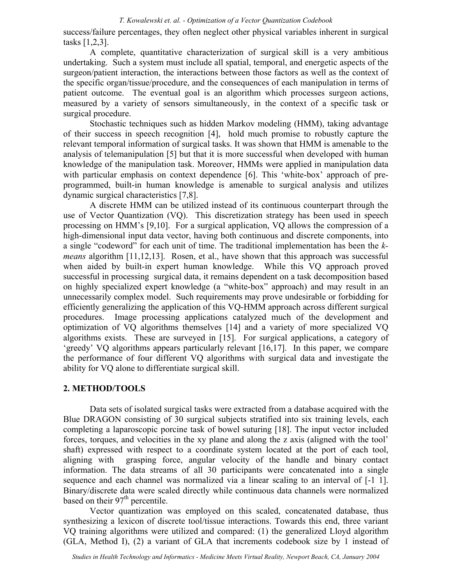### *T. Kowalewski et. al. - Optimization of a Vector Quantization Codebook*

success/failure percentages, they often neglect other physical variables inherent in surgical tasks [1,2,3].

A complete, quantitative characterization of surgical skill is a very ambitious undertaking. Such a system must include all spatial, temporal, and energetic aspects of the surgeon/patient interaction, the interactions between those factors as well as the context of the specific organ/tissue/procedure, and the consequences of each manipulation in terms of patient outcome. The eventual goal is an algorithm which processes surgeon actions, measured by a variety of sensors simultaneously, in the context of a specific task or surgical procedure.

Stochastic techniques such as hidden Markov modeling (HMM), taking advantage of their success in speech recognition [4], hold much promise to robustly capture the relevant temporal information of surgical tasks. It was shown that HMM is amenable to the analysis of telemanipulation [5] but that it is more successful when developed with human knowledge of the manipulation task. Moreover, HMMs were applied in manipulation data with particular emphasis on context dependence [6]. This 'white-box' approach of preprogrammed, built-in human knowledge is amenable to surgical analysis and utilizes dynamic surgical characteristics [7,8].

A discrete HMM can be utilized instead of its continuous counterpart through the use of Vector Quantization (VQ). This discretization strategy has been used in speech processing on HMM's [9,10]. For a surgical application, VQ allows the compression of a high-dimensional input data vector, having both continuous and discrete components, into a single "codeword" for each unit of time. The traditional implementation has been the *kmeans* algorithm [11,12,13]. Rosen, et al., have shown that this approach was successful when aided by built-in expert human knowledge. While this VQ approach proved successful in processing surgical data, it remains dependent on a task decomposition based on highly specialized expert knowledge (a "white-box" approach) and may result in an unnecessarily complex model. Such requirements may prove undesirable or forbidding for efficiently generalizing the application of this VQ-HMM approach across different surgical procedures. Image processing applications catalyzed much of the development and optimization of VQ algorithms themselves [14] and a variety of more specialized VQ algorithms exists. These are surveyed in [15]. For surgical applications, a category of 'greedy' VQ algorithms appears particularly relevant [16,17]. In this paper, we compare the performance of four different VQ algorithms with surgical data and investigate the ability for VQ alone to differentiate surgical skill.

## **2. METHOD/TOOLS**

Data sets of isolated surgical tasks were extracted from a database acquired with the Blue DRAGON consisting of 30 surgical subjects stratified into six training levels, each completing a laparoscopic porcine task of bowel suturing [18]. The input vector included forces, torques, and velocities in the xy plane and along the z axis (aligned with the tool' shaft) expressed with respect to a coordinate system located at the port of each tool, aligning with grasping force, angular velocity of the handle and binary contact information. The data streams of all 30 participants were concatenated into a single sequence and each channel was normalized via a linear scaling to an interval of [-1 1]. Binary/discrete data were scaled directly while continuous data channels were normalized based on their  $97<sup>th</sup>$  percentile.

Vector quantization was employed on this scaled, concatenated database, thus synthesizing a lexicon of discrete tool/tissue interactions. Towards this end, three variant VQ training algorithms were utilized and compared: (1) the generalized Lloyd algorithm (GLA, Method I), (2) a variant of GLA that increments codebook size by 1 instead of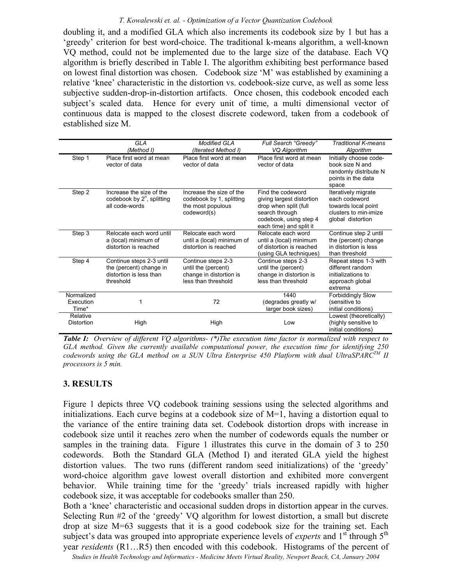### *T. Kowalewski et. al. - Optimization of a Vector Quantization Codebook*

doubling it, and a modified GLA which also increments its codebook size by 1 but has a 'greedy' criterion for best word-choice. The traditional k-means algorithm, a well-known VQ method, could not be implemented due to the large size of the database. Each VQ algorithm is briefly described in Table I. The algorithm exhibiting best performance based on lowest final distortion was chosen. Codebook size 'M' was established by examining a relative 'knee' characteristic in the distortion vs. codebook-size curve, as well as some less subjective sudden-drop-in-distortion artifacts. Once chosen, this codebook encoded each subject's scaled data. Hence for every unit of time, a multi dimensional vector of continuous data is mapped to the closest discrete codeword, taken from a codebook of established size M.

|                                  | <b>GLA</b><br>(Method I)                                                                    | <b>Modified GLA</b><br>(Iterated Method I)                                                  | Full Search "Greedy"<br>VQ Algorithm                                                                                                           | <b>Traditional K-means</b><br>Algorithm                                                                   |
|----------------------------------|---------------------------------------------------------------------------------------------|---------------------------------------------------------------------------------------------|------------------------------------------------------------------------------------------------------------------------------------------------|-----------------------------------------------------------------------------------------------------------|
| Step 1                           | Place first word at mean<br>vector of data                                                  | Place first word at mean<br>vector of data                                                  | Place first word at mean<br>vector of data                                                                                                     | Initially choose code-<br>book size N and<br>randomly distribute N<br>points in the data<br>space         |
| Step 2                           | Increase the size of the<br>codebook by 2 <sup>n</sup> , splitting<br>all code-words        | Increase the size of the<br>codebook by 1, splitting<br>the most populous<br>codeword(s)    | Find the codeword<br>giving largest distortion<br>drop when split (full<br>search through<br>codebook, using step 4<br>each time) and split it | Iteratively migrate<br>each codeword<br>towards local point<br>clusters to min-imize<br>global distortion |
| Step 3                           | Relocate each word until<br>a (local) minimum of<br>distortion is reached                   | Relocate each word<br>until a (local) minimum of<br>distortion is reached                   | Relocate each word<br>until a (local) minimum<br>of distortion is reached<br>(using GLA techniques)                                            | Continue step 2 until<br>the (percent) change<br>in distortion is less<br>than threshold                  |
| Step 4                           | Continue steps 2-3 until<br>the (percent) change in<br>distortion is less than<br>threshold | Continue steps 2-3<br>until the (percent)<br>change in distortion is<br>less than threshold | Continue steps 2-3<br>until the (percent)<br>change in distortion is<br>less than threshold                                                    | Repeat steps 1-3 with<br>different random<br>initializations to<br>approach global<br>extrema             |
| Normalized<br>Execution<br>Time* | 1                                                                                           | 72                                                                                          | 1440<br>(degrades greatly w/<br>larger book sizes)                                                                                             | <b>Forbiddingly Slow</b><br>(sensitive to<br>initial conditions)                                          |
| Relative<br>Distortion           | High                                                                                        | High                                                                                        | Low                                                                                                                                            | Lowest (theoretically)<br>(highly sensitive to<br>initial conditions)                                     |

*Table I: Overview of different VQ algorithms- (\*)The execution time factor is normalized with respect to GLA method. Given the currently available computational power, the execution time for identifying 250 codewords using the GLA method on a SUN Ultra Enterprise 450 Platform with dual UltraSPARCTM II processors is 5 min.* 

# **3. RESULTS**

Figure 1 depicts three VQ codebook training sessions using the selected algorithms and initializations. Each curve begins at a codebook size of M=1, having a distortion equal to the variance of the entire training data set. Codebook distortion drops with increase in codebook size until it reaches zero when the number of codewords equals the number or samples in the training data. Figure 1 illustrates this curve in the domain of 3 to 250 codewords. Both the Standard GLA (Method I) and iterated GLA yield the highest distortion values. The two runs (different random seed initializations) of the 'greedy' word-choice algorithm gave lowest overall distortion and exhibited more convergent behavior. While training time for the 'greedy' trials increased rapidly with higher codebook size, it was acceptable for codebooks smaller than 250.

Both a 'knee' characteristic and occasional sudden drops in distortion appear in the curves. Selecting Run #2 of the 'greedy' VQ algorithm for lowest distortion, a small but discrete drop at size M=63 suggests that it is a good codebook size for the training set. Each subject's data was grouped into appropriate experience levels of *experts* and 1<sup>st</sup> through 5<sup>th</sup> year *residents* (R1…R5) then encoded with this codebook. Histograms of the percent of

*Studies in Health Technology and Informatics - Medicine Meets Virtual Reality, Newport Beach, CA, January 2004*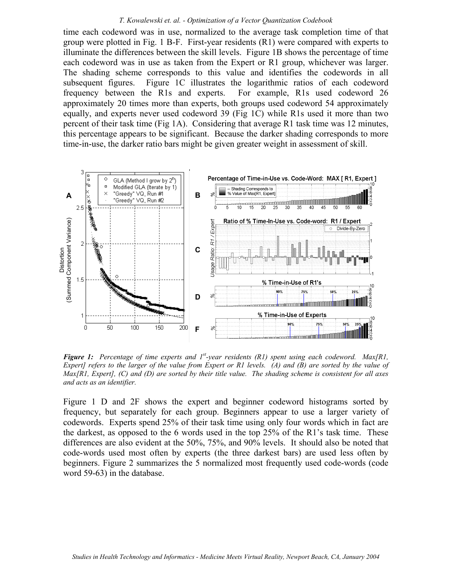#### *T. Kowalewski et. al. - Optimization of a Vector Quantization Codebook*

time each codeword was in use, normalized to the average task completion time of that group were plotted in Fig. 1 B-F. First-year residents (R1) were compared with experts to illuminate the differences between the skill levels. Figure 1B shows the percentage of time each codeword was in use as taken from the Expert or R1 group, whichever was larger. The shading scheme corresponds to this value and identifies the codewords in all subsequent figures. Figure 1C illustrates the logarithmic ratios of each codeword frequency between the R1s and experts. For example, R1s used codeword 26 approximately 20 times more than experts, both groups used codeword 54 approximately equally, and experts never used codeword 39 (Fig 1C) while R1s used it more than two percent of their task time (Fig 1A). Considering that average R1 task time was 12 minutes, this percentage appears to be significant. Because the darker shading corresponds to more time-in-use, the darker ratio bars might be given greater weight in assessment of skill.



*Figure 1: Percentage of time experts and 1st-year residents (R1) spent using each codeword. Max[R1, Expert] refers to the larger of the value from Expert or R1 levels. (A) and (B) are sorted by the value of Max[R1, Expert], (C) and (D) are sorted by their title value. The shading scheme is consistent for all axes and acts as an identifier.*

Figure 1 D and 2F shows the expert and beginner codeword histograms sorted by frequency, but separately for each group. Beginners appear to use a larger variety of codewords. Experts spend 25% of their task time using only four words which in fact are the darkest, as opposed to the 6 words used in the top 25% of the R1's task time. These differences are also evident at the 50%, 75%, and 90% levels. It should also be noted that code-words used most often by experts (the three darkest bars) are used less often by beginners. Figure 2 summarizes the 5 normalized most frequently used code-words (code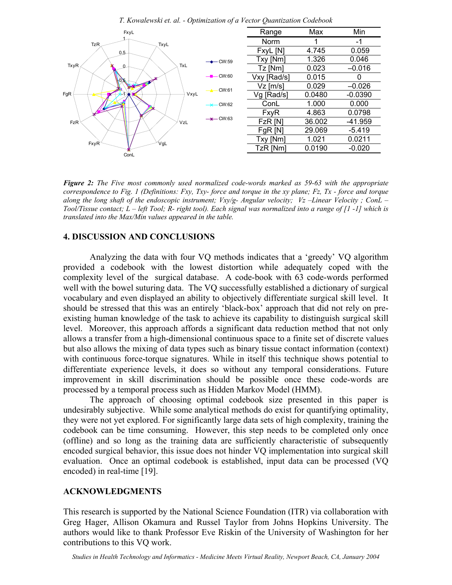

*T. Kowalewski et. al. - Optimization of a Vector Quantization Codebook* 

*Figure 2: The Five most commonly used normalized code-words marked as 59-63 with the appropriate correspondence to Fig. 1 (Definitions: Fxy, Txy- force and torque in the xy plane; Fz, Tx - force and torque along the long shaft of the endoscopic instrument; Vxy/g- Angular velocity; Vz –Linear Velocity ; ConL – Tool/Tissue contact; L – left Tool; R- right tool). Each signal was normalized into a range of [1 -1] which is translated into the Max/Min values appeared in the table.* 

## **4. DISCUSSION AND CONCLUSIONS**

Analyzing the data with four VQ methods indicates that a 'greedy' VQ algorithm provided a codebook with the lowest distortion while adequately coped with the complexity level of the surgical database. A code-book with 63 code-words performed well with the bowel suturing data. The VQ successfully established a dictionary of surgical vocabulary and even displayed an ability to objectively differentiate surgical skill level. It should be stressed that this was an entirely 'black-box' approach that did not rely on preexisting human knowledge of the task to achieve its capability to distinguish surgical skill level. Moreover, this approach affords a significant data reduction method that not only allows a transfer from a high-dimensional continuous space to a finite set of discrete values but also allows the mixing of data types such as binary tissue contact information (context) with continuous force-torque signatures. While in itself this technique shows potential to differentiate experience levels, it does so without any temporal considerations. Future improvement in skill discrimination should be possible once these code-words are processed by a temporal process such as Hidden Markov Model (HMM).

The approach of choosing optimal codebook size presented in this paper is undesirably subjective. While some analytical methods do exist for quantifying optimality, they were not yet explored. For significantly large data sets of high complexity, training the codebook can be time consuming. However, this step needs to be completed only once (offline) and so long as the training data are sufficiently characteristic of subsequently encoded surgical behavior, this issue does not hinder VQ implementation into surgical skill evaluation. Once an optimal codebook is established, input data can be processed (VQ encoded) in real-time [19].

### **ACKNOWLEDGMENTS**

This research is supported by the National Science Foundation (ITR) via collaboration with Greg Hager, Allison Okamura and Russel Taylor from Johns Hopkins University. The authors would like to thank Professor Eve Riskin of the University of Washington for her contributions to this VQ work.